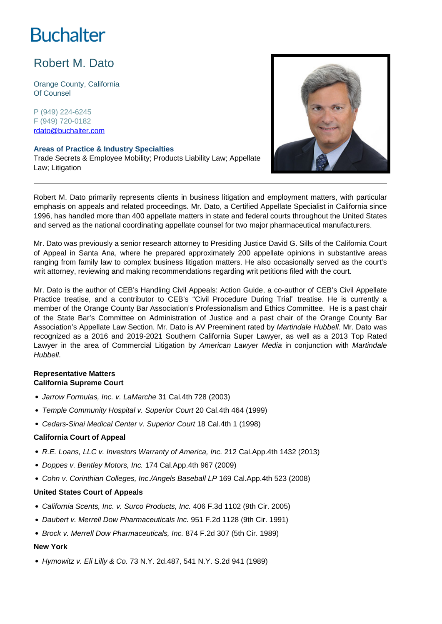# **Buchalter**

# Robert M. Dato

Orange County, California Of Counsel

P (949) 224-6245 F (949) 720-0182 rdato@buchalter.com

#### **Areas of Practice & Industry Specialties**

Trade Secrets & Employee Mobility; Products Liability Law; Appellate Law; Litigation



Robert M. Dato primarily represents clients in business litigation and employment matters, with particular emphasis on appeals and related proceedings. Mr. Dato, a Certified Appellate Specialist in California since 1996, has handled more than 400 appellate matters in state and federal courts throughout the United States and served as the national coordinating appellate counsel for two major pharmaceutical manufacturers.

Mr. Dato was previously a senior research attorney to Presiding Justice David G. Sills of the California Court of Appeal in Santa Ana, where he prepared approximately 200 appellate opinions in substantive areas ranging from family law to complex business litigation matters. He also occasionally served as the court's writ attorney, reviewing and making recommendations regarding writ petitions filed with the court.

Mr. Dato is the author of CEB's Handling Civil Appeals: Action Guide, a co-author of CEB's Civil Appellate Practice treatise, and a contributor to CEB's "Civil Procedure During Trial" treatise. He is currently a member of the Orange County Bar Association's Professionalism and Ethics Committee. He is a past chair of the State Bar's Committee on Administration of Justice and a past chair of the Orange County Bar Association's Appellate Law Section. Mr. Dato is AV Preeminent rated by Martindale Hubbell. Mr. Dato was recognized as a 2016 and 2019-2021 Southern California Super Lawyer, as well as a 2013 Top Rated Lawyer in the area of Commercial Litigation by American Lawyer Media in conjunction with Martindale Hubbell.

## **Representative Matters California Supreme Court**

- Jarrow Formulas, Inc. v. LaMarche 31 Cal.4th 728 (2003)
- Temple Community Hospital v. Superior Court 20 Cal.4th 464 (1999)
- Cedars-Sinai Medical Center v. Superior Court 18 Cal.4th 1 (1998)

## **California Court of Appeal**

- R.E. Loans, LLC v. Investors Warranty of America, Inc. 212 Cal.App.4th 1432 (2013)
- Doppes v. Bentley Motors, Inc. 174 Cal.App.4th 967 (2009)
- Cohn v. Corinthian Colleges, Inc./Angels Baseball LP 169 Cal.App.4th 523 (2008)

## **United States Court of Appeals**

- California Scents, Inc. v. Surco Products, Inc. 406 F.3d 1102 (9th Cir. 2005)
- Daubert v. Merrell Dow Pharmaceuticals Inc. 951 F.2d 1128 (9th Cir. 1991)
- Brock v. Merrell Dow Pharmaceuticals, Inc. 874 F.2d 307 (5th Cir. 1989)

## **New York**

Hymowitz v. Eli Lilly & Co. 73 N.Y. 2d.487, 541 N.Y. S.2d 941 (1989)